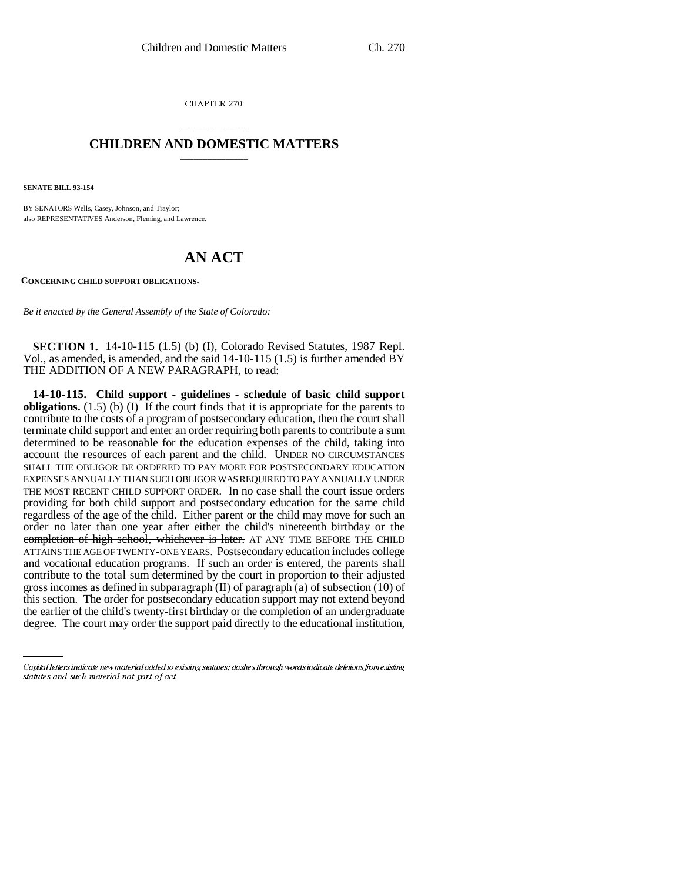CHAPTER 270

## \_\_\_\_\_\_\_\_\_\_\_\_\_\_\_ **CHILDREN AND DOMESTIC MATTERS** \_\_\_\_\_\_\_\_\_\_\_\_\_\_\_

**SENATE BILL 93-154**

BY SENATORS Wells, Casey, Johnson, and Traylor; also REPRESENTATIVES Anderson, Fleming, and Lawrence.

## **AN ACT**

**CONCERNING CHILD SUPPORT OBLIGATIONS.**

*Be it enacted by the General Assembly of the State of Colorado:*

**SECTION 1.** 14-10-115 (1.5) (b) (I), Colorado Revised Statutes, 1987 Repl. Vol., as amended, is amended, and the said 14-10-115 (1.5) is further amended BY THE ADDITION OF A NEW PARAGRAPH, to read:

degree. The court may order the support paid directly to the educational institution,**14-10-115. Child support - guidelines - schedule of basic child support obligations.** (1.5) (b) (I) If the court finds that it is appropriate for the parents to contribute to the costs of a program of postsecondary education, then the court shall terminate child support and enter an order requiring both parents to contribute a sum determined to be reasonable for the education expenses of the child, taking into account the resources of each parent and the child. UNDER NO CIRCUMSTANCES SHALL THE OBLIGOR BE ORDERED TO PAY MORE FOR POSTSECONDARY EDUCATION EXPENSES ANNUALLY THAN SUCH OBLIGOR WAS REQUIRED TO PAY ANNUALLY UNDER THE MOST RECENT CHILD SUPPORT ORDER. In no case shall the court issue orders providing for both child support and postsecondary education for the same child regardless of the age of the child. Either parent or the child may move for such an order no later than one year after either the child's nineteenth birthday or the completion of high school, whichever is later. AT ANY TIME BEFORE THE CHILD ATTAINS THE AGE OF TWENTY-ONE YEARS. Postsecondary education includes college and vocational education programs. If such an order is entered, the parents shall contribute to the total sum determined by the court in proportion to their adjusted gross incomes as defined in subparagraph  $(II)$  of paragraph (a) of subsection (10) of this section. The order for postsecondary education support may not extend beyond the earlier of the child's twenty-first birthday or the completion of an undergraduate

Capital letters indicate new material added to existing statutes; dashes through words indicate deletions from existing statutes and such material not part of act.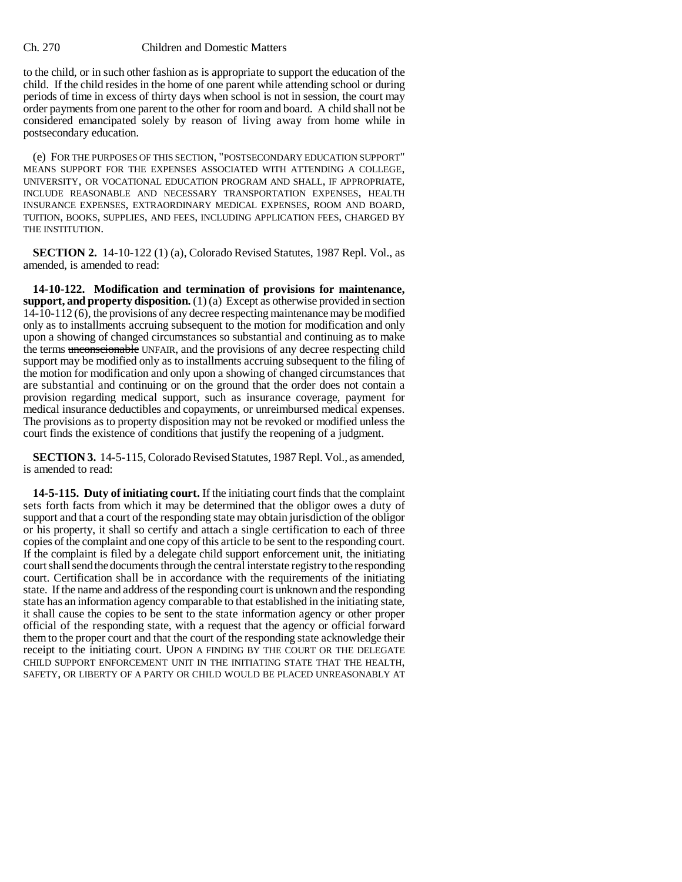## Ch. 270 Children and Domestic Matters

to the child, or in such other fashion as is appropriate to support the education of the child. If the child resides in the home of one parent while attending school or during periods of time in excess of thirty days when school is not in session, the court may order payments from one parent to the other for room and board. A child shall not be considered emancipated solely by reason of living away from home while in postsecondary education.

(e) FOR THE PURPOSES OF THIS SECTION, "POSTSECONDARY EDUCATION SUPPORT" MEANS SUPPORT FOR THE EXPENSES ASSOCIATED WITH ATTENDING A COLLEGE, UNIVERSITY, OR VOCATIONAL EDUCATION PROGRAM AND SHALL, IF APPROPRIATE, INCLUDE REASONABLE AND NECESSARY TRANSPORTATION EXPENSES, HEALTH INSURANCE EXPENSES, EXTRAORDINARY MEDICAL EXPENSES, ROOM AND BOARD, TUITION, BOOKS, SUPPLIES, AND FEES, INCLUDING APPLICATION FEES, CHARGED BY THE INSTITUTION.

**SECTION 2.** 14-10-122 (1) (a), Colorado Revised Statutes, 1987 Repl. Vol., as amended, is amended to read:

**14-10-122. Modification and termination of provisions for maintenance, support, and property disposition.** (1) (a) Except as otherwise provided in section 14-10-112 (6), the provisions of any decree respecting maintenance may be modified only as to installments accruing subsequent to the motion for modification and only upon a showing of changed circumstances so substantial and continuing as to make the terms unconscionable UNFAIR, and the provisions of any decree respecting child support may be modified only as to installments accruing subsequent to the filing of the motion for modification and only upon a showing of changed circumstances that are substantial and continuing or on the ground that the order does not contain a provision regarding medical support, such as insurance coverage, payment for medical insurance deductibles and copayments, or unreimbursed medical expenses. The provisions as to property disposition may not be revoked or modified unless the court finds the existence of conditions that justify the reopening of a judgment.

**SECTION 3.** 14-5-115, Colorado Revised Statutes, 1987 Repl. Vol., as amended, is amended to read:

**14-5-115. Duty of initiating court.** If the initiating court finds that the complaint sets forth facts from which it may be determined that the obligor owes a duty of support and that a court of the responding state may obtain jurisdiction of the obligor or his property, it shall so certify and attach a single certification to each of three copies of the complaint and one copy of this article to be sent to the responding court. If the complaint is filed by a delegate child support enforcement unit, the initiating court shall send the documents through the central interstate registry to the responding court. Certification shall be in accordance with the requirements of the initiating state. If the name and address of the responding court is unknown and the responding state has an information agency comparable to that established in the initiating state, it shall cause the copies to be sent to the state information agency or other proper official of the responding state, with a request that the agency or official forward them to the proper court and that the court of the responding state acknowledge their receipt to the initiating court. UPON A FINDING BY THE COURT OR THE DELEGATE CHILD SUPPORT ENFORCEMENT UNIT IN THE INITIATING STATE THAT THE HEALTH, SAFETY, OR LIBERTY OF A PARTY OR CHILD WOULD BE PLACED UNREASONABLY AT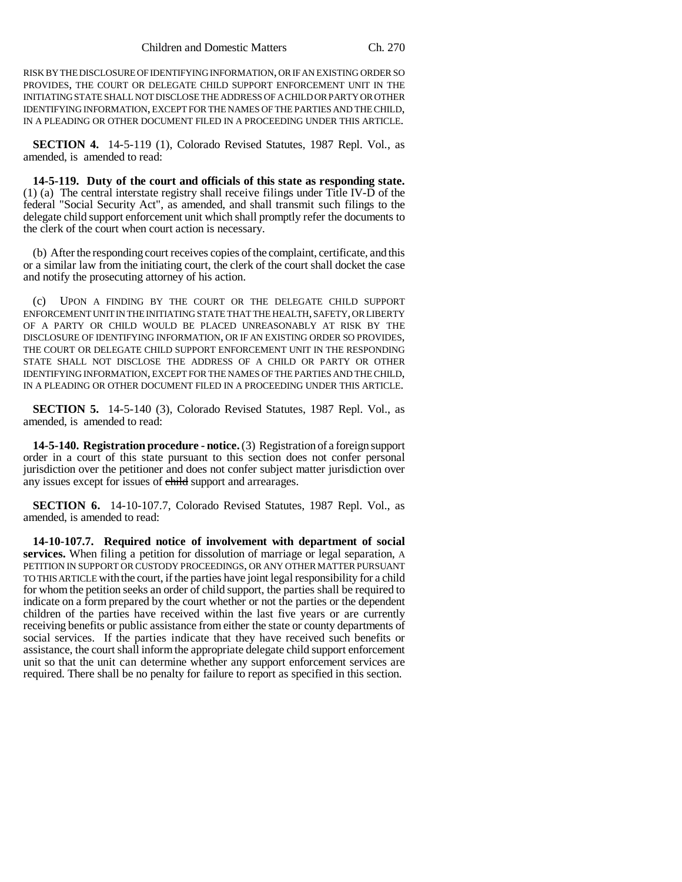RISK BY THE DISCLOSURE OF IDENTIFYING INFORMATION, OR IF AN EXISTING ORDER SO PROVIDES, THE COURT OR DELEGATE CHILD SUPPORT ENFORCEMENT UNIT IN THE INITIATING STATE SHALL NOT DISCLOSE THE ADDRESS OF A CHILD OR PARTY OR OTHER IDENTIFYING INFORMATION, EXCEPT FOR THE NAMES OF THE PARTIES AND THE CHILD, IN A PLEADING OR OTHER DOCUMENT FILED IN A PROCEEDING UNDER THIS ARTICLE.

**SECTION 4.** 14-5-119 (1), Colorado Revised Statutes, 1987 Repl. Vol., as amended, is amended to read:

**14-5-119. Duty of the court and officials of this state as responding state.** (1) (a) The central interstate registry shall receive filings under Title IV-D of the federal "Social Security Act", as amended, and shall transmit such filings to the delegate child support enforcement unit which shall promptly refer the documents to the clerk of the court when court action is necessary.

(b) After the responding court receives copies of the complaint, certificate, and this or a similar law from the initiating court, the clerk of the court shall docket the case and notify the prosecuting attorney of his action.

(c) UPON A FINDING BY THE COURT OR THE DELEGATE CHILD SUPPORT ENFORCEMENT UNIT IN THE INITIATING STATE THAT THE HEALTH, SAFETY, OR LIBERTY OF A PARTY OR CHILD WOULD BE PLACED UNREASONABLY AT RISK BY THE DISCLOSURE OF IDENTIFYING INFORMATION, OR IF AN EXISTING ORDER SO PROVIDES, THE COURT OR DELEGATE CHILD SUPPORT ENFORCEMENT UNIT IN THE RESPONDING STATE SHALL NOT DISCLOSE THE ADDRESS OF A CHILD OR PARTY OR OTHER IDENTIFYING INFORMATION, EXCEPT FOR THE NAMES OF THE PARTIES AND THE CHILD, IN A PLEADING OR OTHER DOCUMENT FILED IN A PROCEEDING UNDER THIS ARTICLE.

**SECTION 5.** 14-5-140 (3), Colorado Revised Statutes, 1987 Repl. Vol., as amended, is amended to read:

**14-5-140. Registration procedure - notice.** (3) Registration of a foreign support order in a court of this state pursuant to this section does not confer personal jurisdiction over the petitioner and does not confer subject matter jurisdiction over any issues except for issues of child support and arrearages.

**SECTION 6.** 14-10-107.7, Colorado Revised Statutes, 1987 Repl. Vol., as amended, is amended to read:

**14-10-107.7. Required notice of involvement with department of social services.** When filing a petition for dissolution of marriage or legal separation, A PETITION IN SUPPORT OR CUSTODY PROCEEDINGS, OR ANY OTHER MATTER PURSUANT TO THIS ARTICLE with the court, if the parties have joint legal responsibility for a child for whom the petition seeks an order of child support, the parties shall be required to indicate on a form prepared by the court whether or not the parties or the dependent children of the parties have received within the last five years or are currently receiving benefits or public assistance from either the state or county departments of social services. If the parties indicate that they have received such benefits or assistance, the court shall inform the appropriate delegate child support enforcement unit so that the unit can determine whether any support enforcement services are required. There shall be no penalty for failure to report as specified in this section.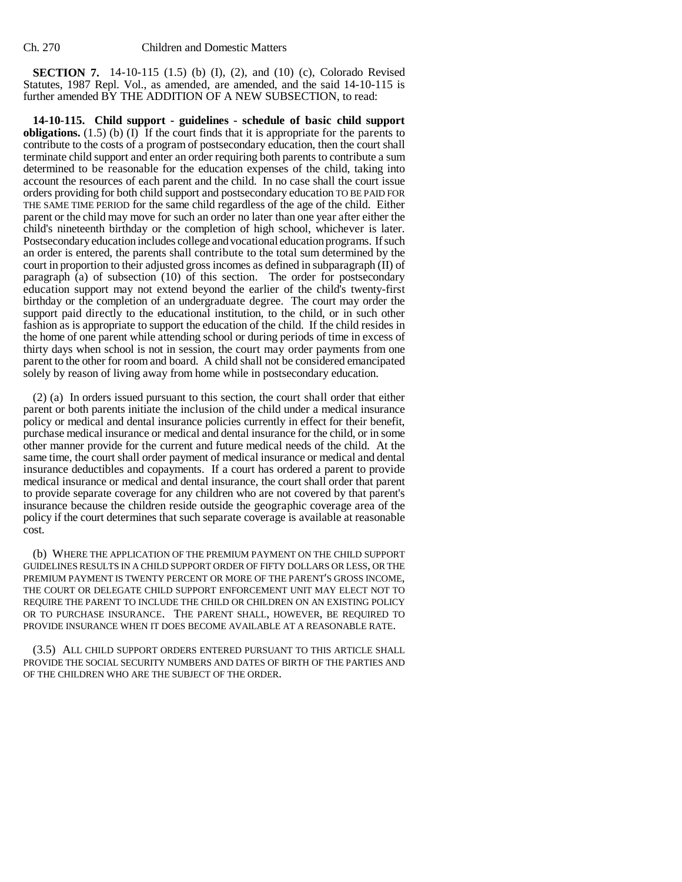**SECTION 7.** 14-10-115 (1.5) (b) (I), (2), and (10) (c), Colorado Revised Statutes, 1987 Repl. Vol., as amended, are amended, and the said 14-10-115 is further amended BY THE ADDITION OF A NEW SUBSECTION, to read:

**14-10-115. Child support - guidelines - schedule of basic child support obligations.** (1.5) (b) (I) If the court finds that it is appropriate for the parents to contribute to the costs of a program of postsecondary education, then the court shall terminate child support and enter an order requiring both parents to contribute a sum determined to be reasonable for the education expenses of the child, taking into account the resources of each parent and the child. In no case shall the court issue orders providing for both child support and postsecondary education TO BE PAID FOR THE SAME TIME PERIOD for the same child regardless of the age of the child. Either parent or the child may move for such an order no later than one year after either the child's nineteenth birthday or the completion of high school, whichever is later. Postsecondary education includes college and vocational education programs. If such an order is entered, the parents shall contribute to the total sum determined by the court in proportion to their adjusted gross incomes as defined in subparagraph (II) of paragraph (a) of subsection (10) of this section. The order for postsecondary education support may not extend beyond the earlier of the child's twenty-first birthday or the completion of an undergraduate degree. The court may order the support paid directly to the educational institution, to the child, or in such other fashion as is appropriate to support the education of the child. If the child resides in the home of one parent while attending school or during periods of time in excess of thirty days when school is not in session, the court may order payments from one parent to the other for room and board. A child shall not be considered emancipated solely by reason of living away from home while in postsecondary education.

(2) (a) In orders issued pursuant to this section, the court shall order that either parent or both parents initiate the inclusion of the child under a medical insurance policy or medical and dental insurance policies currently in effect for their benefit, purchase medical insurance or medical and dental insurance for the child, or in some other manner provide for the current and future medical needs of the child. At the same time, the court shall order payment of medical insurance or medical and dental insurance deductibles and copayments. If a court has ordered a parent to provide medical insurance or medical and dental insurance, the court shall order that parent to provide separate coverage for any children who are not covered by that parent's insurance because the children reside outside the geographic coverage area of the policy if the court determines that such separate coverage is available at reasonable cost.

(b) WHERE THE APPLICATION OF THE PREMIUM PAYMENT ON THE CHILD SUPPORT GUIDELINES RESULTS IN A CHILD SUPPORT ORDER OF FIFTY DOLLARS OR LESS, OR THE PREMIUM PAYMENT IS TWENTY PERCENT OR MORE OF THE PARENT'S GROSS INCOME, THE COURT OR DELEGATE CHILD SUPPORT ENFORCEMENT UNIT MAY ELECT NOT TO REQUIRE THE PARENT TO INCLUDE THE CHILD OR CHILDREN ON AN EXISTING POLICY OR TO PURCHASE INSURANCE. THE PARENT SHALL, HOWEVER, BE REQUIRED TO PROVIDE INSURANCE WHEN IT DOES BECOME AVAILABLE AT A REASONABLE RATE.

(3.5) ALL CHILD SUPPORT ORDERS ENTERED PURSUANT TO THIS ARTICLE SHALL PROVIDE THE SOCIAL SECURITY NUMBERS AND DATES OF BIRTH OF THE PARTIES AND OF THE CHILDREN WHO ARE THE SUBJECT OF THE ORDER.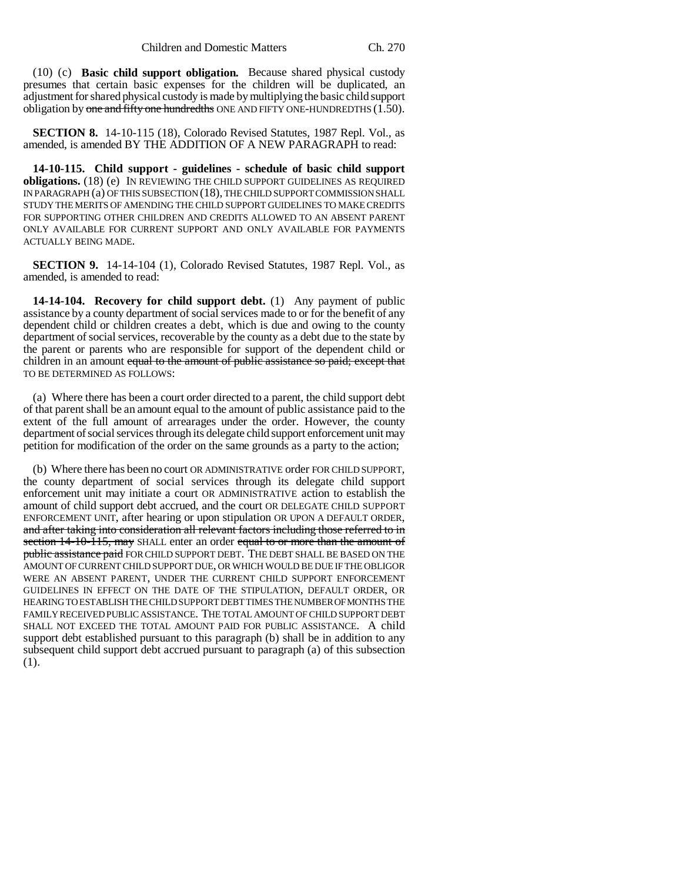(10) (c) **Basic child support obligation.** Because shared physical custody presumes that certain basic expenses for the children will be duplicated, an adjustment for shared physical custody is made by multiplying the basic child support obligation by one and fifty one hundredths ONE AND FIFTY ONE-HUNDREDTHS  $(1.50)$ .

**SECTION 8.** 14-10-115 (18), Colorado Revised Statutes, 1987 Repl. Vol., as amended, is amended BY THE ADDITION OF A NEW PARAGRAPH to read:

**14-10-115. Child support - guidelines - schedule of basic child support obligations.** (18) (e) IN REVIEWING THE CHILD SUPPORT GUIDELINES AS REQUIRED IN PARAGRAPH (a) OF THIS SUBSECTION (18), THE CHILD SUPPORT COMMISSION SHALL STUDY THE MERITS OF AMENDING THE CHILD SUPPORT GUIDELINES TO MAKE CREDITS FOR SUPPORTING OTHER CHILDREN AND CREDITS ALLOWED TO AN ABSENT PARENT ONLY AVAILABLE FOR CURRENT SUPPORT AND ONLY AVAILABLE FOR PAYMENTS ACTUALLY BEING MADE.

**SECTION 9.** 14-14-104 (1), Colorado Revised Statutes, 1987 Repl. Vol., as amended, is amended to read:

**14-14-104. Recovery for child support debt.** (1) Any payment of public assistance by a county department of social services made to or for the benefit of any dependent child or children creates a debt, which is due and owing to the county department of social services, recoverable by the county as a debt due to the state by the parent or parents who are responsible for support of the dependent child or children in an amount equal to the amount of public assistance so paid; except that TO BE DETERMINED AS FOLLOWS:

(a) Where there has been a court order directed to a parent, the child support debt of that parent shall be an amount equal to the amount of public assistance paid to the extent of the full amount of arrearages under the order. However, the county department of social services through its delegate child support enforcement unit may petition for modification of the order on the same grounds as a party to the action;

(b) Where there has been no court OR ADMINISTRATIVE order FOR CHILD SUPPORT, the county department of social services through its delegate child support enforcement unit may initiate a court OR ADMINISTRATIVE action to establish the amount of child support debt accrued, and the court OR DELEGATE CHILD SUPPORT ENFORCEMENT UNIT, after hearing or upon stipulation OR UPON A DEFAULT ORDER, and after taking into consideration all relevant factors including those referred to in section 14-10-115, may SHALL enter an order equal to or more than the amount of public assistance paid FOR CHILD SUPPORT DEBT. THE DEBT SHALL BE BASED ON THE AMOUNT OF CURRENT CHILD SUPPORT DUE, OR WHICH WOULD BE DUE IF THE OBLIGOR WERE AN ABSENT PARENT, UNDER THE CURRENT CHILD SUPPORT ENFORCEMENT GUIDELINES IN EFFECT ON THE DATE OF THE STIPULATION, DEFAULT ORDER, OR HEARING TO ESTABLISH THE CHILD SUPPORT DEBT TIMES THE NUMBER OF MONTHS THE FAMILY RECEIVED PUBLIC ASSISTANCE. THE TOTAL AMOUNT OF CHILD SUPPORT DEBT SHALL NOT EXCEED THE TOTAL AMOUNT PAID FOR PUBLIC ASSISTANCE. A child support debt established pursuant to this paragraph (b) shall be in addition to any subsequent child support debt accrued pursuant to paragraph (a) of this subsection (1).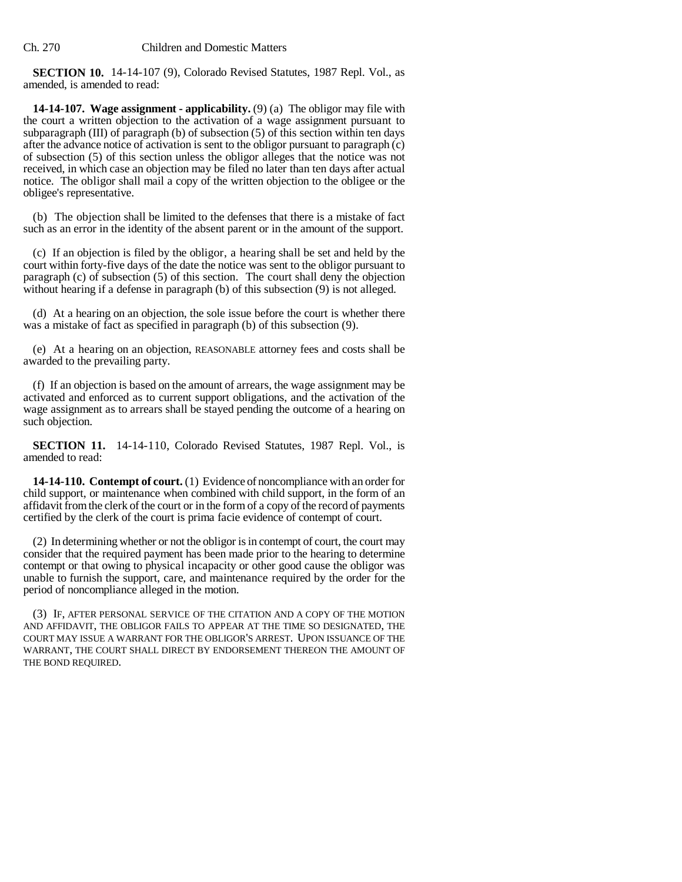**SECTION 10.** 14-14-107 (9), Colorado Revised Statutes, 1987 Repl. Vol., as amended, is amended to read:

**14-14-107. Wage assignment - applicability.** (9) (a) The obligor may file with the court a written objection to the activation of a wage assignment pursuant to subparagraph (III) of paragraph (b) of subsection (5) of this section within ten days after the advance notice of activation is sent to the obligor pursuant to paragraph (c) of subsection (5) of this section unless the obligor alleges that the notice was not received, in which case an objection may be filed no later than ten days after actual notice. The obligor shall mail a copy of the written objection to the obligee or the obligee's representative.

(b) The objection shall be limited to the defenses that there is a mistake of fact such as an error in the identity of the absent parent or in the amount of the support.

(c) If an objection is filed by the obligor, a hearing shall be set and held by the court within forty-five days of the date the notice was sent to the obligor pursuant to paragraph (c) of subsection (5) of this section. The court shall deny the objection without hearing if a defense in paragraph (b) of this subsection (9) is not alleged.

(d) At a hearing on an objection, the sole issue before the court is whether there was a mistake of fact as specified in paragraph (b) of this subsection (9).

(e) At a hearing on an objection, REASONABLE attorney fees and costs shall be awarded to the prevailing party.

(f) If an objection is based on the amount of arrears, the wage assignment may be activated and enforced as to current support obligations, and the activation of the wage assignment as to arrears shall be stayed pending the outcome of a hearing on such objection.

**SECTION 11.** 14-14-110, Colorado Revised Statutes, 1987 Repl. Vol., is amended to read:

**14-14-110. Contempt of court.** (1) Evidence of noncompliance with an order for child support, or maintenance when combined with child support, in the form of an affidavit from the clerk of the court or in the form of a copy of the record of payments certified by the clerk of the court is prima facie evidence of contempt of court.

(2) In determining whether or not the obligor is in contempt of court, the court may consider that the required payment has been made prior to the hearing to determine contempt or that owing to physical incapacity or other good cause the obligor was unable to furnish the support, care, and maintenance required by the order for the period of noncompliance alleged in the motion.

(3) IF, AFTER PERSONAL SERVICE OF THE CITATION AND A COPY OF THE MOTION AND AFFIDAVIT, THE OBLIGOR FAILS TO APPEAR AT THE TIME SO DESIGNATED, THE COURT MAY ISSUE A WARRANT FOR THE OBLIGOR'S ARREST. UPON ISSUANCE OF THE WARRANT, THE COURT SHALL DIRECT BY ENDORSEMENT THEREON THE AMOUNT OF THE BOND REQUIRED.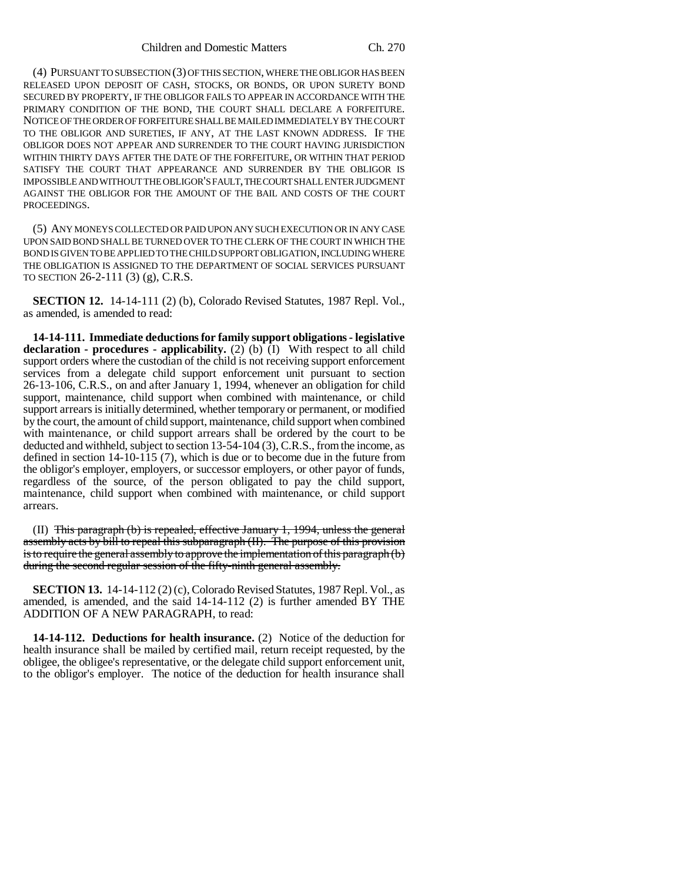(4) PURSUANT TO SUBSECTION (3) OF THIS SECTION, WHERE THE OBLIGOR HAS BEEN RELEASED UPON DEPOSIT OF CASH, STOCKS, OR BONDS, OR UPON SURETY BOND SECURED BY PROPERTY, IF THE OBLIGOR FAILS TO APPEAR IN ACCORDANCE WITH THE PRIMARY CONDITION OF THE BOND, THE COURT SHALL DECLARE A FORFEITURE. NOTICE OF THE ORDER OF FORFEITURE SHALL BE MAILED IMMEDIATELY BY THE COURT TO THE OBLIGOR AND SURETIES, IF ANY, AT THE LAST KNOWN ADDRESS. IF THE OBLIGOR DOES NOT APPEAR AND SURRENDER TO THE COURT HAVING JURISDICTION WITHIN THIRTY DAYS AFTER THE DATE OF THE FORFEITURE, OR WITHIN THAT PERIOD SATISFY THE COURT THAT APPEARANCE AND SURRENDER BY THE OBLIGOR IS IMPOSSIBLE AND WITHOUT THE OBLIGOR'S FAULT, THE COURT SHALL ENTER JUDGMENT AGAINST THE OBLIGOR FOR THE AMOUNT OF THE BAIL AND COSTS OF THE COURT PROCEEDINGS.

(5) ANY MONEYS COLLECTED OR PAID UPON ANY SUCH EXECUTION OR IN ANY CASE UPON SAID BOND SHALL BE TURNED OVER TO THE CLERK OF THE COURT IN WHICH THE BOND IS GIVEN TO BE APPLIED TO THE CHILD SUPPORT OBLIGATION, INCLUDING WHERE THE OBLIGATION IS ASSIGNED TO THE DEPARTMENT OF SOCIAL SERVICES PURSUANT TO SECTION 26-2-111 (3) (g), C.R.S.

**SECTION 12.** 14-14-111 (2) (b), Colorado Revised Statutes, 1987 Repl. Vol., as amended, is amended to read:

**14-14-111. Immediate deductions for family support obligations - legislative declaration - procedures - applicability.** (2) (b)  $(I)$  With respect to all child support orders where the custodian of the child is not receiving support enforcement services from a delegate child support enforcement unit pursuant to section 26-13-106, C.R.S., on and after January 1, 1994, whenever an obligation for child support, maintenance, child support when combined with maintenance, or child support arrears is initially determined, whether temporary or permanent, or modified by the court, the amount of child support, maintenance, child support when combined with maintenance, or child support arrears shall be ordered by the court to be deducted and withheld, subject to section 13-54-104 (3), C.R.S., from the income, as defined in section 14-10-115 (7), which is due or to become due in the future from the obligor's employer, employers, or successor employers, or other payor of funds, regardless of the source, of the person obligated to pay the child support, maintenance, child support when combined with maintenance, or child support arrears.

(II) This paragraph (b) is repealed, effective January 1, 1994, unless the general assembly acts by bill to repeal this subparagraph (II). The purpose of this provision is to require the general assembly to approve the implementation of this paragraph (b) during the second regular session of the fifty-ninth general assembly.

**SECTION 13.** 14-14-112 (2) (c), Colorado Revised Statutes, 1987 Repl. Vol., as amended, is amended, and the said 14-14-112 (2) is further amended BY THE ADDITION OF A NEW PARAGRAPH, to read:

**14-14-112. Deductions for health insurance.** (2) Notice of the deduction for health insurance shall be mailed by certified mail, return receipt requested, by the obligee, the obligee's representative, or the delegate child support enforcement unit, to the obligor's employer. The notice of the deduction for health insurance shall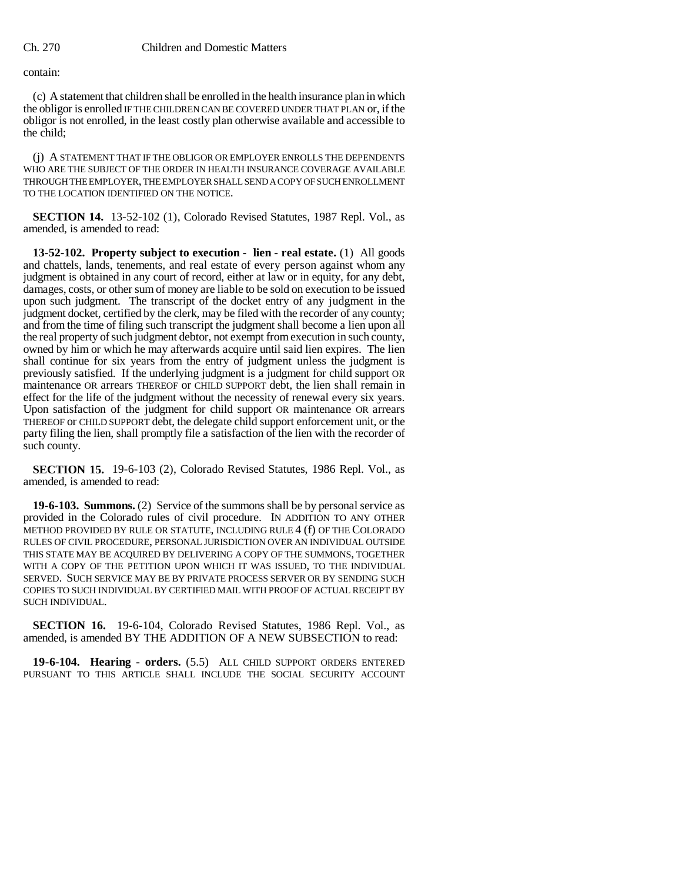contain:

(c) A statement that children shall be enrolled in the health insurance plan in which the obligor is enrolled IF THE CHILDREN CAN BE COVERED UNDER THAT PLAN or, if the obligor is not enrolled, in the least costly plan otherwise available and accessible to the child;

(j) A STATEMENT THAT IF THE OBLIGOR OR EMPLOYER ENROLLS THE DEPENDENTS WHO ARE THE SUBJECT OF THE ORDER IN HEALTH INSURANCE COVERAGE AVAILABLE THROUGH THE EMPLOYER, THE EMPLOYER SHALL SEND A COPY OF SUCH ENROLLMENT TO THE LOCATION IDENTIFIED ON THE NOTICE.

**SECTION 14.** 13-52-102 (1), Colorado Revised Statutes, 1987 Repl. Vol., as amended, is amended to read:

**13-52-102. Property subject to execution - lien - real estate.** (1) All goods and chattels, lands, tenements, and real estate of every person against whom any judgment is obtained in any court of record, either at law or in equity, for any debt, damages, costs, or other sum of money are liable to be sold on execution to be issued upon such judgment. The transcript of the docket entry of any judgment in the judgment docket, certified by the clerk, may be filed with the recorder of any county; and from the time of filing such transcript the judgment shall become a lien upon all the real property of such judgment debtor, not exempt from execution in such county, owned by him or which he may afterwards acquire until said lien expires. The lien shall continue for six years from the entry of judgment unless the judgment is previously satisfied. If the underlying judgment is a judgment for child support OR maintenance OR arrears THEREOF or CHILD SUPPORT debt, the lien shall remain in effect for the life of the judgment without the necessity of renewal every six years. Upon satisfaction of the judgment for child support OR maintenance OR arrears THEREOF or CHILD SUPPORT debt, the delegate child support enforcement unit, or the party filing the lien, shall promptly file a satisfaction of the lien with the recorder of such county.

**SECTION 15.** 19-6-103 (2), Colorado Revised Statutes, 1986 Repl. Vol., as amended, is amended to read:

**19-6-103. Summons.** (2) Service of the summons shall be by personal service as provided in the Colorado rules of civil procedure. IN ADDITION TO ANY OTHER METHOD PROVIDED BY RULE OR STATUTE, INCLUDING RULE 4 (f) OF THE COLORADO RULES OF CIVIL PROCEDURE, PERSONAL JURISDICTION OVER AN INDIVIDUAL OUTSIDE THIS STATE MAY BE ACQUIRED BY DELIVERING A COPY OF THE SUMMONS, TOGETHER WITH A COPY OF THE PETITION UPON WHICH IT WAS ISSUED, TO THE INDIVIDUAL SERVED. SUCH SERVICE MAY BE BY PRIVATE PROCESS SERVER OR BY SENDING SUCH COPIES TO SUCH INDIVIDUAL BY CERTIFIED MAIL WITH PROOF OF ACTUAL RECEIPT BY SUCH INDIVIDUAL.

**SECTION 16.** 19-6-104, Colorado Revised Statutes, 1986 Repl. Vol., as amended, is amended BY THE ADDITION OF A NEW SUBSECTION to read:

**19-6-104. Hearing - orders.** (5.5) ALL CHILD SUPPORT ORDERS ENTERED PURSUANT TO THIS ARTICLE SHALL INCLUDE THE SOCIAL SECURITY ACCOUNT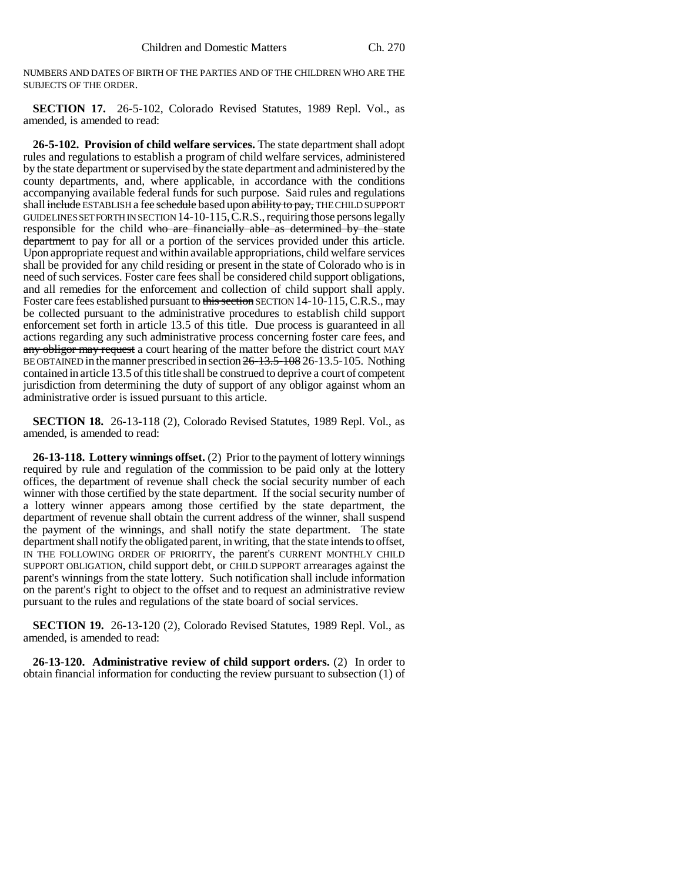NUMBERS AND DATES OF BIRTH OF THE PARTIES AND OF THE CHILDREN WHO ARE THE SUBJECTS OF THE ORDER.

**SECTION 17.** 26-5-102, Colorado Revised Statutes, 1989 Repl. Vol., as amended, is amended to read:

**26-5-102. Provision of child welfare services.** The state department shall adopt rules and regulations to establish a program of child welfare services, administered by the state department or supervised by the state department and administered by the county departments, and, where applicable, in accordance with the conditions accompanying available federal funds for such purpose. Said rules and regulations shall include ESTABLISH a fee schedule based upon ability to pay, THE CHILD SUPPORT GUIDELINES SET FORTH IN SECTION 14-10-115,C.R.S., requiring those persons legally responsible for the child who are financially able as determined by the state department to pay for all or a portion of the services provided under this article. Upon appropriate request and within available appropriations, child welfare services shall be provided for any child residing or present in the state of Colorado who is in need of such services. Foster care fees shall be considered child support obligations, and all remedies for the enforcement and collection of child support shall apply. Foster care fees established pursuant to this section SECTION 14-10-115, C.R.S., may be collected pursuant to the administrative procedures to establish child support enforcement set forth in article 13.5 of this title. Due process is guaranteed in all actions regarding any such administrative process concerning foster care fees, and any obligor may request a court hearing of the matter before the district court MAY BE OBTAINED in the manner prescribed in section 26-13.5-108 26-13.5-105. Nothing contained in article 13.5 of this title shall be construed to deprive a court of competent jurisdiction from determining the duty of support of any obligor against whom an administrative order is issued pursuant to this article.

**SECTION 18.** 26-13-118 (2), Colorado Revised Statutes, 1989 Repl. Vol., as amended, is amended to read:

**26-13-118. Lottery winnings offset.** (2) Prior to the payment of lottery winnings required by rule and regulation of the commission to be paid only at the lottery offices, the department of revenue shall check the social security number of each winner with those certified by the state department. If the social security number of a lottery winner appears among those certified by the state department, the department of revenue shall obtain the current address of the winner, shall suspend the payment of the winnings, and shall notify the state department. The state department shall notify the obligated parent, in writing, that the state intends to offset, IN THE FOLLOWING ORDER OF PRIORITY, the parent's CURRENT MONTHLY CHILD SUPPORT OBLIGATION, child support debt, or CHILD SUPPORT arrearages against the parent's winnings from the state lottery. Such notification shall include information on the parent's right to object to the offset and to request an administrative review pursuant to the rules and regulations of the state board of social services.

**SECTION 19.** 26-13-120 (2), Colorado Revised Statutes, 1989 Repl. Vol., as amended, is amended to read:

**26-13-120. Administrative review of child support orders.** (2) In order to obtain financial information for conducting the review pursuant to subsection (1) of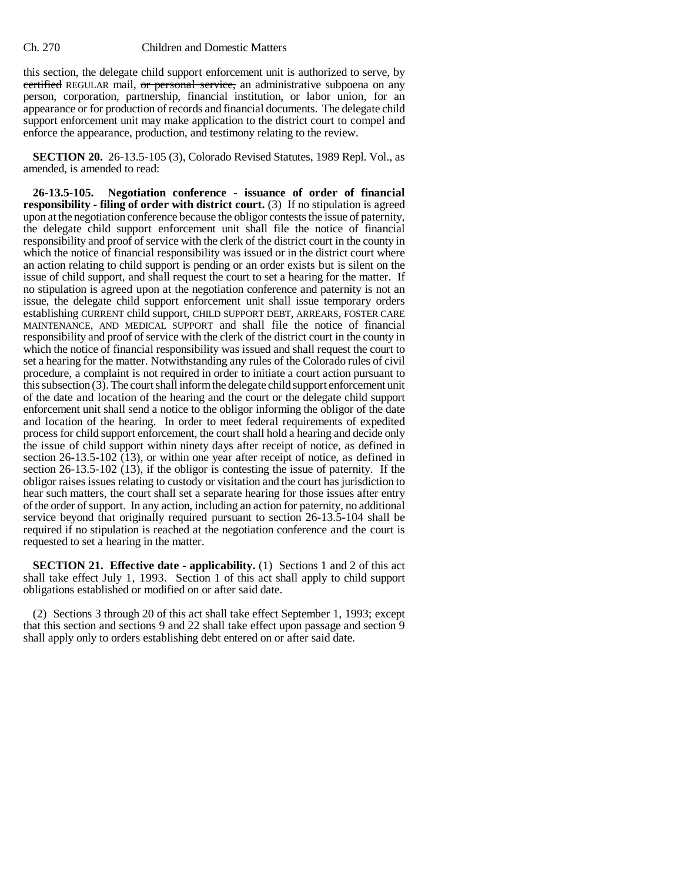## Ch. 270 Children and Domestic Matters

this section, the delegate child support enforcement unit is authorized to serve, by certified REGULAR mail, or personal service, an administrative subpoena on any person, corporation, partnership, financial institution, or labor union, for an appearance or for production of records and financial documents. The delegate child support enforcement unit may make application to the district court to compel and enforce the appearance, production, and testimony relating to the review.

**SECTION 20.** 26-13.5-105 (3), Colorado Revised Statutes, 1989 Repl. Vol., as amended, is amended to read:

**26-13.5-105. Negotiation conference - issuance of order of financial responsibility - filing of order with district court.** (3) If no stipulation is agreed upon at the negotiation conference because the obligor contests the issue of paternity, the delegate child support enforcement unit shall file the notice of financial responsibility and proof of service with the clerk of the district court in the county in which the notice of financial responsibility was issued or in the district court where an action relating to child support is pending or an order exists but is silent on the issue of child support, and shall request the court to set a hearing for the matter. If no stipulation is agreed upon at the negotiation conference and paternity is not an issue, the delegate child support enforcement unit shall issue temporary orders establishing CURRENT child support, CHILD SUPPORT DEBT, ARREARS, FOSTER CARE MAINTENANCE, AND MEDICAL SUPPORT and shall file the notice of financial responsibility and proof of service with the clerk of the district court in the county in which the notice of financial responsibility was issued and shall request the court to set a hearing for the matter. Notwithstanding any rules of the Colorado rules of civil procedure, a complaint is not required in order to initiate a court action pursuant to this subsection (3). The court shall inform the delegate child support enforcement unit of the date and location of the hearing and the court or the delegate child support enforcement unit shall send a notice to the obligor informing the obligor of the date and location of the hearing. In order to meet federal requirements of expedited process for child support enforcement, the court shall hold a hearing and decide only the issue of child support within ninety days after receipt of notice, as defined in section 26-13.5-102 (13), or within one year after receipt of notice, as defined in section 26-13.5-102 (13), if the obligor is contesting the issue of paternity. If the obligor raises issues relating to custody or visitation and the court has jurisdiction to hear such matters, the court shall set a separate hearing for those issues after entry of the order of support. In any action, including an action for paternity, no additional service beyond that originally required pursuant to section 26-13.5-104 shall be required if no stipulation is reached at the negotiation conference and the court is requested to set a hearing in the matter.

**SECTION 21. Effective date - applicability.** (1) Sections 1 and 2 of this act shall take effect July 1, 1993. Section 1 of this act shall apply to child support obligations established or modified on or after said date.

(2) Sections 3 through 20 of this act shall take effect September 1, 1993; except that this section and sections 9 and 22 shall take effect upon passage and section 9 shall apply only to orders establishing debt entered on or after said date.